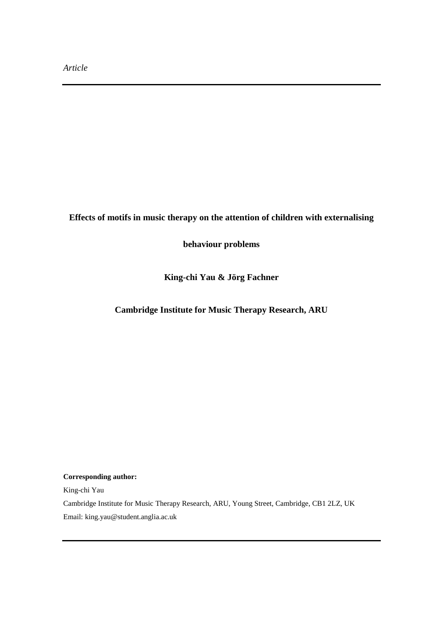# **Effects of motifs in music therapy on the attention of children with externalising**

**behaviour problems**

**King-chi Yau & Jörg Fachner**

**Cambridge Institute for Music Therapy Research, ARU**

**Corresponding author:** 

King-chi Yau

Cambridge Institute for Music Therapy Research, ARU, Young Street, Cambridge, CB1 2LZ, UK Email: king.yau@student.anglia.ac.uk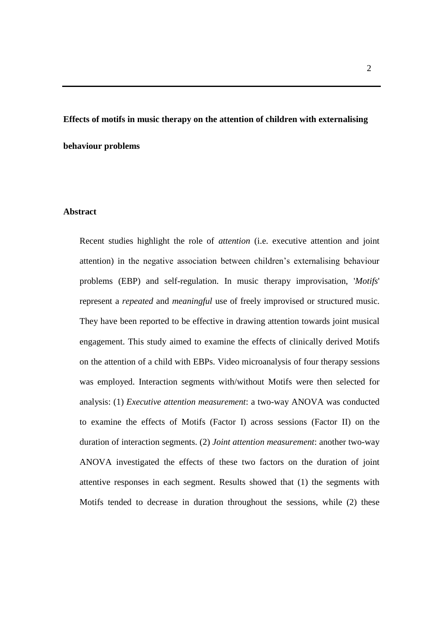# **Effects of motifs in music therapy on the attention of children with externalising behaviour problems**

#### **Abstract**

Recent studies highlight the role of *attention* (i.e. executive attention and joint attention) in the negative association between children's externalising behaviour problems (EBP) and self-regulation. In music therapy improvisation, '*Motifs*' represent a *repeated* and *meaningful* use of freely improvised or structured music. They have been reported to be effective in drawing attention towards joint musical engagement. This study aimed to examine the effects of clinically derived Motifs on the attention of a child with EBPs. Video microanalysis of four therapy sessions was employed. Interaction segments with/without Motifs were then selected for analysis: (1) *Executive attention measurement*: a two-way ANOVA was conducted to examine the effects of Motifs (Factor I) across sessions (Factor II) on the duration of interaction segments. (2) *Joint attention measurement*: another two-way ANOVA investigated the effects of these two factors on the duration of joint attentive responses in each segment. Results showed that (1) the segments with Motifs tended to decrease in duration throughout the sessions, while (2) these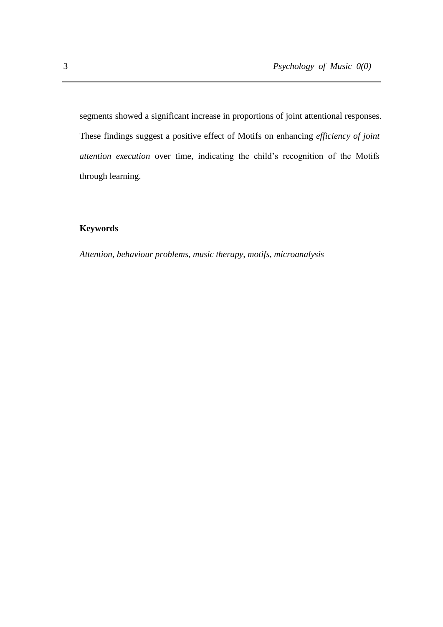segments showed a significant increase in proportions of joint attentional responses. These findings suggest a positive effect of Motifs on enhancing *efficiency of joint attention execution* over time, indicating the child's recognition of the Motifs through learning.

# **Keywords**

*Attention, behaviour problems, music therapy, motifs, microanalysis*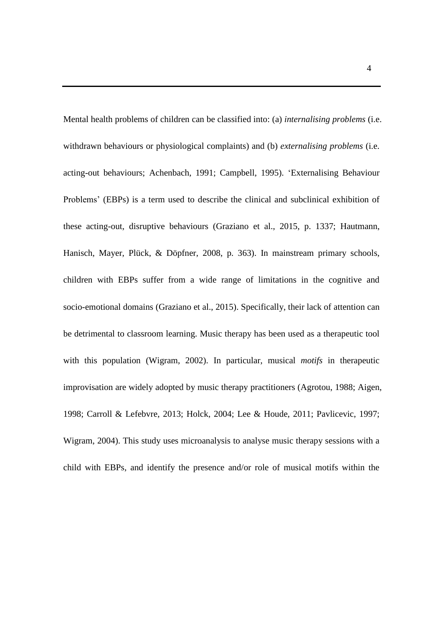Mental health problems of children can be classified into: (a) *internalising problems* (i.e. withdrawn behaviours or physiological complaints) and (b) *externalising problems* (i.e. acting-out behaviours; Achenbach, 1991; Campbell, 1995). 'Externalising Behaviour Problems' (EBPs) is a term used to describe the clinical and subclinical exhibition of these acting-out, disruptive behaviours (Graziano et al., 2015, p. 1337; Hautmann, Hanisch, Mayer, Plück, & Döpfner, 2008, p. 363). In mainstream primary schools, children with EBPs suffer from a wide range of limitations in the cognitive and socio-emotional domains (Graziano et al., 2015). Specifically, their lack of attention can be detrimental to classroom learning. Music therapy has been used as a therapeutic tool with this population (Wigram, 2002). In particular, musical *motifs* in therapeutic improvisation are widely adopted by music therapy practitioners (Agrotou, 1988; Aigen, 1998; Carroll & Lefebvre, 2013; Holck, 2004; Lee & Houde, 2011; Pavlicevic, 1997; Wigram, 2004). This study uses microanalysis to analyse music therapy sessions with a child with EBPs, and identify the presence and/or role of musical motifs within the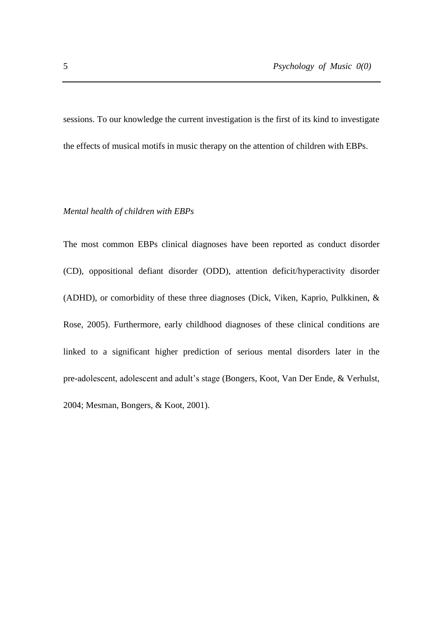sessions. To our knowledge the current investigation is the first of its kind to investigate the effects of musical motifs in music therapy on the attention of children with EBPs.

#### *Mental health of children with EBPs*

The most common EBPs clinical diagnoses have been reported as conduct disorder (CD), oppositional defiant disorder (ODD), attention deficit/hyperactivity disorder (ADHD), or comorbidity of these three diagnoses (Dick, Viken, Kaprio, Pulkkinen, & Rose, 2005). Furthermore, early childhood diagnoses of these clinical conditions are linked to a significant higher prediction of serious mental disorders later in the pre-adolescent, adolescent and adult's stage (Bongers, Koot, Van Der Ende, & Verhulst, 2004; Mesman, Bongers, & Koot, 2001).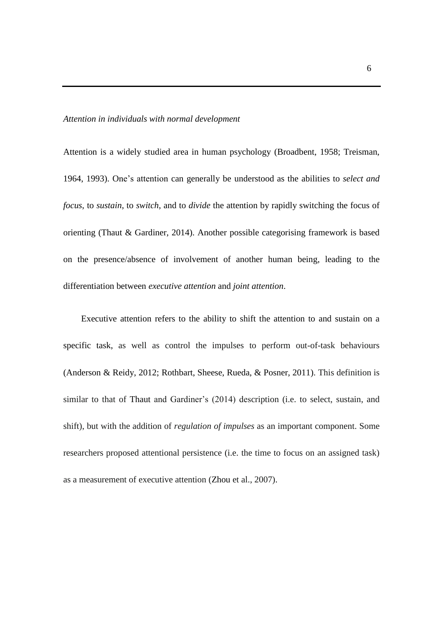#### *Attention in individuals with normal development*

Attention is a widely studied area in human psychology (Broadbent, 1958; Treisman, 1964, 1993). One's attention can generally be understood as the abilities to *select and focus*, to *sustain*, to *switch*, and to *divide* the attention by rapidly switching the focus of orienting (Thaut & Gardiner, 2014). Another possible categorising framework is based on the presence/absence of involvement of another human being, leading to the differentiation between *executive attention* and *joint attention*.

Executive attention refers to the ability to shift the attention to and sustain on a specific task, as well as control the impulses to perform out-of-task behaviours (Anderson & Reidy, 2012; Rothbart, Sheese, Rueda, & Posner, 2011). This definition is similar to that of Thaut and Gardiner's (2014) description (i.e. to select, sustain, and shift), but with the addition of *regulation of impulses* as an important component. Some researchers proposed attentional persistence (i.e. the time to focus on an assigned task) as a measurement of executive attention (Zhou et al., 2007).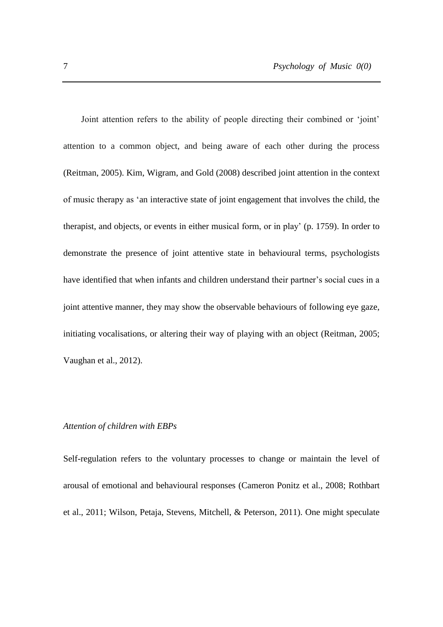Joint attention refers to the ability of people directing their combined or 'joint' attention to a common object, and being aware of each other during the process (Reitman, 2005). Kim, Wigram, and Gold (2008) described joint attention in the context of music therapy as 'an interactive state of joint engagement that involves the child, the therapist, and objects, or events in either musical form, or in play' (p. 1759). In order to demonstrate the presence of joint attentive state in behavioural terms, psychologists have identified that when infants and children understand their partner's social cues in a joint attentive manner, they may show the observable behaviours of following eye gaze, initiating vocalisations, or altering their way of playing with an object (Reitman, 2005; Vaughan et al., 2012).

#### *Attention of children with EBPs*

Self-regulation refers to the voluntary processes to change or maintain the level of arousal of emotional and behavioural responses (Cameron Ponitz et al., 2008; Rothbart et al., 2011; Wilson, Petaja, Stevens, Mitchell, & Peterson, 2011). One might speculate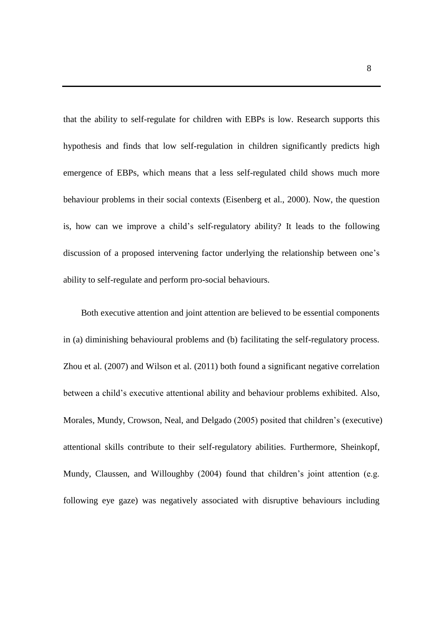that the ability to self-regulate for children with EBPs is low. Research supports this hypothesis and finds that low self-regulation in children significantly predicts high emergence of EBPs, which means that a less self-regulated child shows much more behaviour problems in their social contexts (Eisenberg et al., 2000). Now, the question is, how can we improve a child's self-regulatory ability? It leads to the following discussion of a proposed intervening factor underlying the relationship between one's ability to self-regulate and perform pro-social behaviours.

Both executive attention and joint attention are believed to be essential components in (a) diminishing behavioural problems and (b) facilitating the self-regulatory process. Zhou et al. (2007) and Wilson et al. (2011) both found a significant negative correlation between a child's executive attentional ability and behaviour problems exhibited. Also, Morales, Mundy, Crowson, Neal, and Delgado (2005) posited that children's (executive) attentional skills contribute to their self-regulatory abilities. Furthermore, Sheinkopf, Mundy, Claussen, and Willoughby (2004) found that children's joint attention (e.g. following eye gaze) was negatively associated with disruptive behaviours including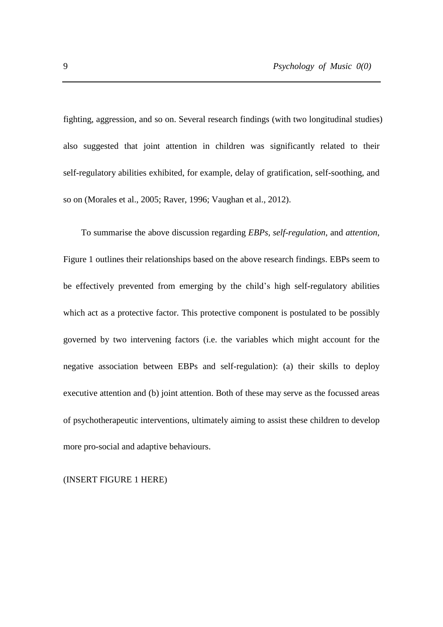fighting, aggression, and so on. Several research findings (with two longitudinal studies) also suggested that joint attention in children was significantly related to their self-regulatory abilities exhibited, for example, delay of gratification, self-soothing, and so on (Morales et al., 2005; Raver, 1996; Vaughan et al., 2012).

To summarise the above discussion regarding *EBPs, self-regulation*, and *attention*, Figure 1 outlines their relationships based on the above research findings. EBPs seem to be effectively prevented from emerging by the child's high self-regulatory abilities which act as a protective factor. This protective component is postulated to be possibly governed by two intervening factors (i.e. the variables which might account for the negative association between EBPs and self-regulation): (a) their skills to deploy executive attention and (b) joint attention. Both of these may serve as the focussed areas of psychotherapeutic interventions, ultimately aiming to assist these children to develop more pro-social and adaptive behaviours.

(INSERT FIGURE 1 HERE)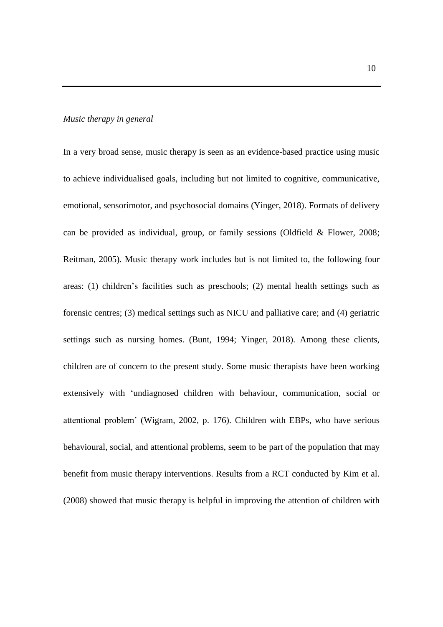#### *Music therapy in general*

In a very broad sense, music therapy is seen as an evidence-based practice using music to achieve individualised goals, including but not limited to cognitive, communicative, emotional, sensorimotor, and psychosocial domains (Yinger, 2018). Formats of delivery can be provided as individual, group, or family sessions (Oldfield & Flower, 2008; Reitman, 2005). Music therapy work includes but is not limited to, the following four areas: (1) children's facilities such as preschools; (2) mental health settings such as forensic centres; (3) medical settings such as NICU and palliative care; and (4) geriatric settings such as nursing homes. (Bunt, 1994; Yinger, 2018). Among these clients, children are of concern to the present study. Some music therapists have been working extensively with 'undiagnosed children with behaviour, communication, social or attentional problem' (Wigram, 2002, p. 176). Children with EBPs, who have serious behavioural, social, and attentional problems, seem to be part of the population that may benefit from music therapy interventions. Results from a RCT conducted by Kim et al. (2008) showed that music therapy is helpful in improving the attention of children with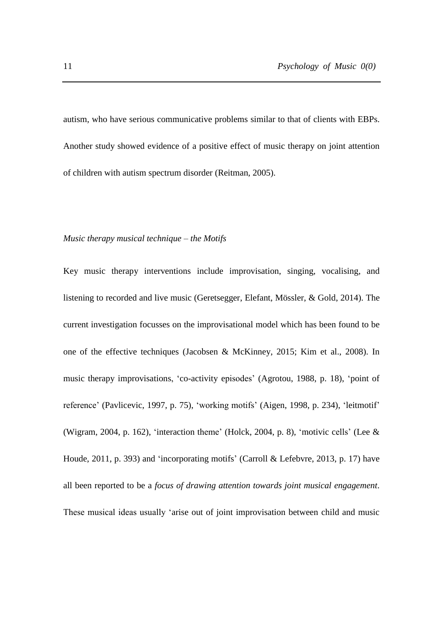autism, who have serious communicative problems similar to that of clients with EBPs. Another study showed evidence of a positive effect of music therapy on joint attention of children with autism spectrum disorder (Reitman, 2005).

#### *Music therapy musical technique – the Motifs*

Key music therapy interventions include improvisation, singing, vocalising, and listening to recorded and live music (Geretsegger, Elefant, Mössler, & Gold, 2014). The current investigation focusses on the improvisational model which has been found to be one of the effective techniques (Jacobsen & McKinney, 2015; Kim et al., 2008). In music therapy improvisations, 'co-activity episodes' (Agrotou, 1988, p. 18), 'point of reference' (Pavlicevic, 1997, p. 75), 'working motifs' (Aigen, 1998, p. 234), 'leitmotif' (Wigram, 2004, p. 162), 'interaction theme' (Holck, 2004, p. 8), 'motivic cells' (Lee  $\&$ Houde, 2011, p. 393) and 'incorporating motifs' (Carroll & Lefebvre, 2013, p. 17) have all been reported to be a *focus of drawing attention towards joint musical engagement*. These musical ideas usually 'arise out of joint improvisation between child and music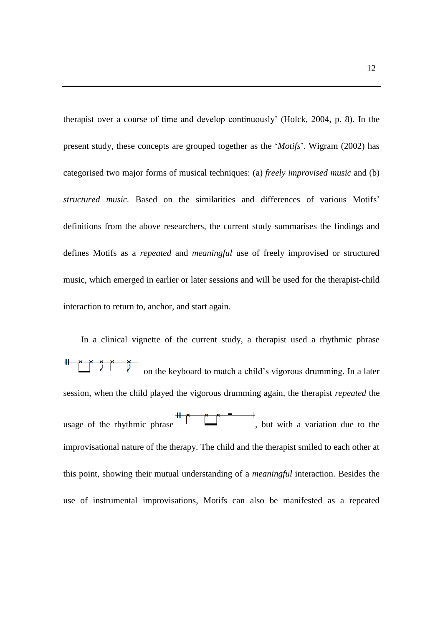therapist over a course of time and develop continuously' (Holck, 2004, p. 8). In the present study, these concepts are grouped together as the '*Motifs*'. Wigram (2002) has categorised two major forms of musical techniques: (a) *freely improvised music* and (b) *structured music.* Based on the similarities and differences of various Motifs' definitions from the above researchers, the current study summarises the findings and defines Motifs as a *repeated* and *meaningful* use of freely improvised or structured music, which emerged in earlier or later sessions and will be used for the therapist-child interaction to return to, anchor, and start again.

In a clinical vignette of the current study, a therapist used a rhythmic phrase H Ď Ď on the keyboard to match a child's vigorous drumming. In a later session, when the child played the vigorous drumming again, the therapist *repeated* the usage of the rhythmic phrase  $\mathbf{u}$ , but with a variation due to the improvisational nature of the therapy. The child and the therapist smiled to each other at this point, showing their mutual understanding of a *meaningful* interaction. Besides the use of instrumental improvisations, Motifs can also be manifested as a repeated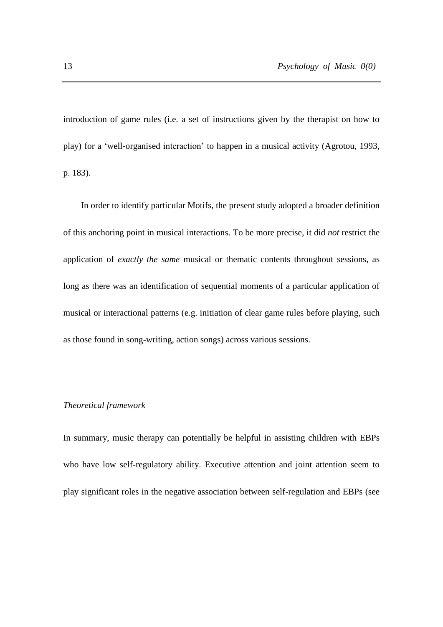introduction of game rules (i.e. a set of instructions given by the therapist on how to play) for a 'well-organised interaction' to happen in a musical activity (Agrotou, 1993, p. 183).

In order to identify particular Motifs, the present study adopted a broader definition of this anchoring point in musical interactions. To be more precise, it did *not* restrict the application of *exactly the same* musical or thematic contents throughout sessions, as long as there was an identification of sequential moments of a particular application of musical or interactional patterns (e.g. initiation of clear game rules before playing, such as those found in song-writing, action songs) across various sessions.

#### *Theoretical framework*

In summary, music therapy can potentially be helpful in assisting children with EBPs who have low self-regulatory ability. Executive attention and joint attention seem to play significant roles in the negative association between self-regulation and EBPs (see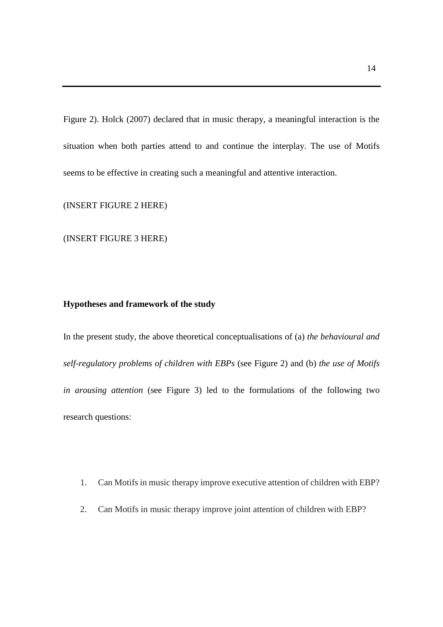Figure 2). Holck (2007) declared that in music therapy, a meaningful interaction is the situation when both parties attend to and continue the interplay. The use of Motifs seems to be effective in creating such a meaningful and attentive interaction.

(INSERT FIGURE 2 HERE)

(INSERT FIGURE 3 HERE)

#### **Hypotheses and framework of the study**

In the present study, the above theoretical conceptualisations of (a) *the behavioural and self-regulatory problems of children with EBPs* (see Figure 2) and (b) *the use of Motifs in arousing attention* (see Figure 3) led to the formulations of the following two research questions:

- 1. Can Motifs in music therapy improve executive attention of children with EBP?
- 2. Can Motifs in music therapy improve joint attention of children with EBP?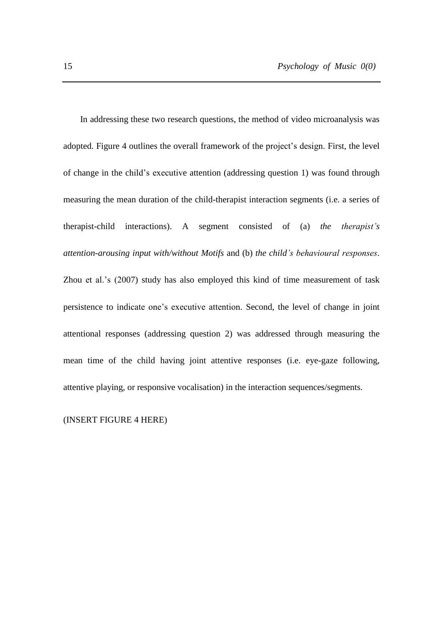In addressing these two research questions, the method of video microanalysis was adopted. Figure 4 outlines the overall framework of the project's design. First, the level of change in the child's executive attention (addressing question 1) was found through measuring the mean duration of the child-therapist interaction segments (i.e. a series of therapist-child interactions). A segment consisted of (a) *the therapist's attention-arousing input with/without Motifs* and (b) *the child's behavioural responses*. Zhou et al.'s (2007) study has also employed this kind of time measurement of task persistence to indicate one's executive attention. Second, the level of change in joint attentional responses (addressing question 2) was addressed through measuring the mean time of the child having joint attentive responses (i.e. eye-gaze following, attentive playing, or responsive vocalisation) in the interaction sequences/segments.

(INSERT FIGURE 4 HERE)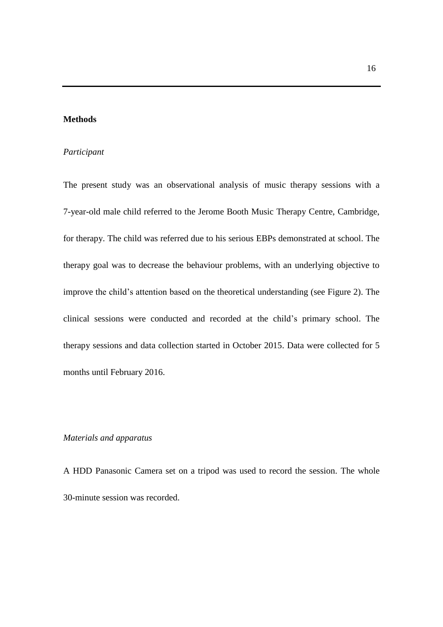### **Methods**

#### *Participant*

The present study was an observational analysis of music therapy sessions with a 7-year-old male child referred to the Jerome Booth Music Therapy Centre, Cambridge, for therapy. The child was referred due to his serious EBPs demonstrated at school. The therapy goal was to decrease the behaviour problems, with an underlying objective to improve the child's attention based on the theoretical understanding (see Figure 2). The clinical sessions were conducted and recorded at the child's primary school. The therapy sessions and data collection started in October 2015. Data were collected for 5 months until February 2016.

#### *Materials and apparatus*

A HDD Panasonic Camera set on a tripod was used to record the session. The whole 30-minute session was recorded.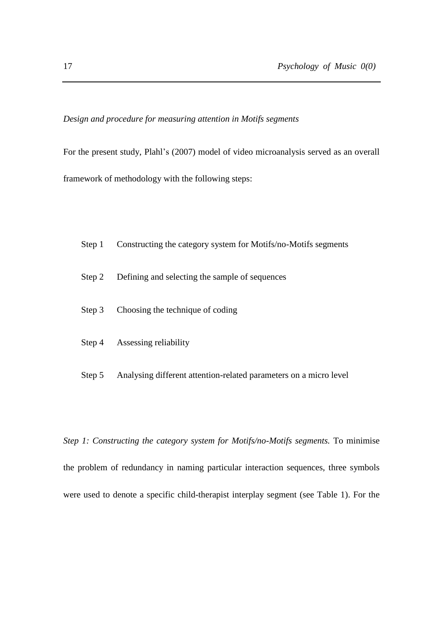#### *Design and procedure for measuring attention in Motifs segments*

For the present study, Plahl's (2007) model of video microanalysis served as an overall framework of methodology with the following steps:

- Step 1 Constructing the category system for Motifs/no-Motifs segments
- Step 2 Defining and selecting the sample of sequences
- Step 3 Choosing the technique of coding
- Step 4 Assessing reliability
- Step 5 Analysing different attention-related parameters on a micro level

*Step 1: Constructing the category system for Motifs/no-Motifs segments.* To minimise the problem of redundancy in naming particular interaction sequences, three symbols were used to denote a specific child-therapist interplay segment (see Table 1). For the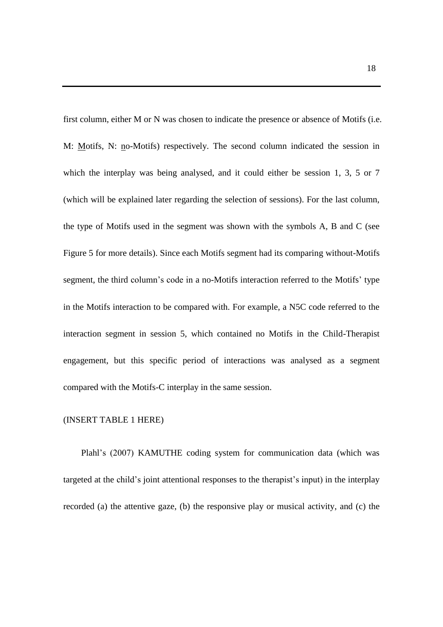first column, either M or N was chosen to indicate the presence or absence of Motifs (i.e. M: Motifs, N: no-Motifs) respectively. The second column indicated the session in which the interplay was being analysed, and it could either be session 1, 3, 5 or 7 (which will be explained later regarding the selection of sessions). For the last column, the type of Motifs used in the segment was shown with the symbols A, B and C (see Figure 5 for more details). Since each Motifs segment had its comparing without-Motifs segment, the third column's code in a no-Motifs interaction referred to the Motifs' type in the Motifs interaction to be compared with. For example, a N5C code referred to the interaction segment in session 5, which contained no Motifs in the Child-Therapist engagement, but this specific period of interactions was analysed as a segment compared with the Motifs-C interplay in the same session.

#### (INSERT TABLE 1 HERE)

Plahl's (2007) KAMUTHE coding system for communication data (which was targeted at the child's joint attentional responses to the therapist's input) in the interplay recorded (a) the attentive gaze, (b) the responsive play or musical activity, and (c) the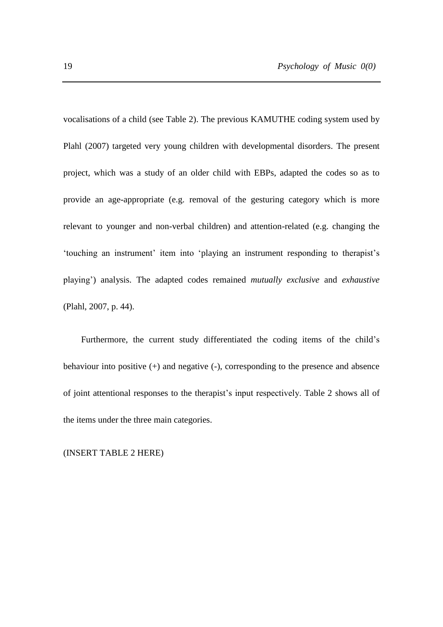vocalisations of a child (see Table 2). The previous KAMUTHE coding system used by Plahl (2007) targeted very young children with developmental disorders. The present project, which was a study of an older child with EBPs, adapted the codes so as to provide an age-appropriate (e.g. removal of the gesturing category which is more relevant to younger and non-verbal children) and attention-related (e.g. changing the 'touching an instrument' item into 'playing an instrument responding to therapist's playing') analysis. The adapted codes remained *mutually exclusive* and *exhaustive*  (Plahl, 2007, p. 44).

Furthermore, the current study differentiated the coding items of the child's behaviour into positive (+) and negative (-), corresponding to the presence and absence of joint attentional responses to the therapist's input respectively. Table 2 shows all of the items under the three main categories.

(INSERT TABLE 2 HERE)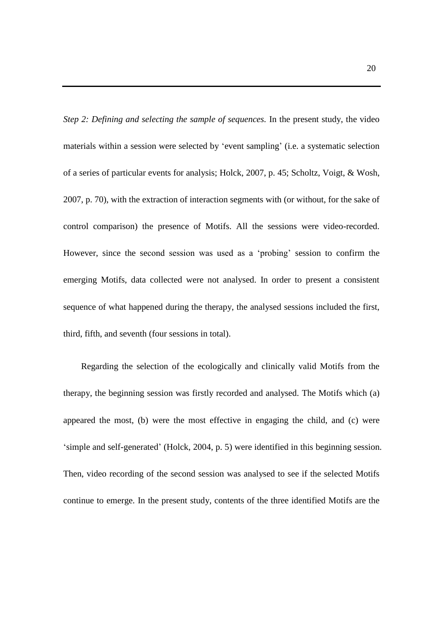*Step 2: Defining and selecting the sample of sequences.* In the present study, the video materials within a session were selected by 'event sampling' (i.e. a systematic selection of a series of particular events for analysis; Holck, 2007, p. 45; Scholtz, Voigt, & Wosh, 2007, p. 70), with the extraction of interaction segments with (or without, for the sake of control comparison) the presence of Motifs. All the sessions were video-recorded. However, since the second session was used as a 'probing' session to confirm the emerging Motifs, data collected were not analysed. In order to present a consistent sequence of what happened during the therapy, the analysed sessions included the first, third, fifth, and seventh (four sessions in total).

Regarding the selection of the ecologically and clinically valid Motifs from the therapy, the beginning session was firstly recorded and analysed. The Motifs which (a) appeared the most, (b) were the most effective in engaging the child, and (c) were 'simple and self-generated' (Holck, 2004, p. 5) were identified in this beginning session. Then, video recording of the second session was analysed to see if the selected Motifs continue to emerge. In the present study, contents of the three identified Motifs are the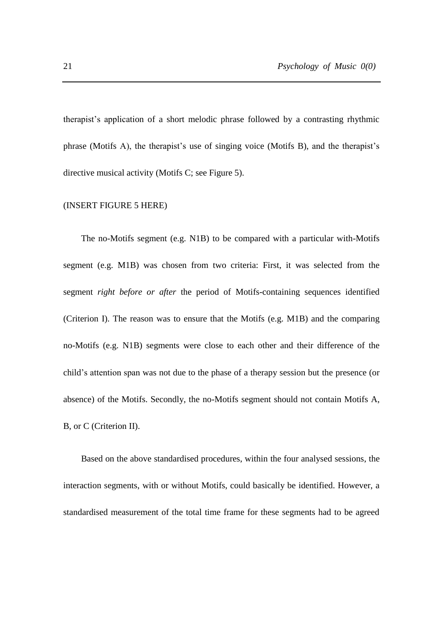therapist's application of a short melodic phrase followed by a contrasting rhythmic phrase (Motifs A), the therapist's use of singing voice (Motifs B), and the therapist's directive musical activity (Motifs C; see Figure 5).

#### (INSERT FIGURE 5 HERE)

The no-Motifs segment (e.g. N1B) to be compared with a particular with-Motifs segment (e.g. M1B) was chosen from two criteria: First, it was selected from the segment *right before or after* the period of Motifs-containing sequences identified (Criterion I). The reason was to ensure that the Motifs (e.g. M1B) and the comparing no-Motifs (e.g. N1B) segments were close to each other and their difference of the child's attention span was not due to the phase of a therapy session but the presence (or absence) of the Motifs. Secondly, the no-Motifs segment should not contain Motifs A, B, or C (Criterion II).

Based on the above standardised procedures, within the four analysed sessions, the interaction segments, with or without Motifs, could basically be identified. However, a standardised measurement of the total time frame for these segments had to be agreed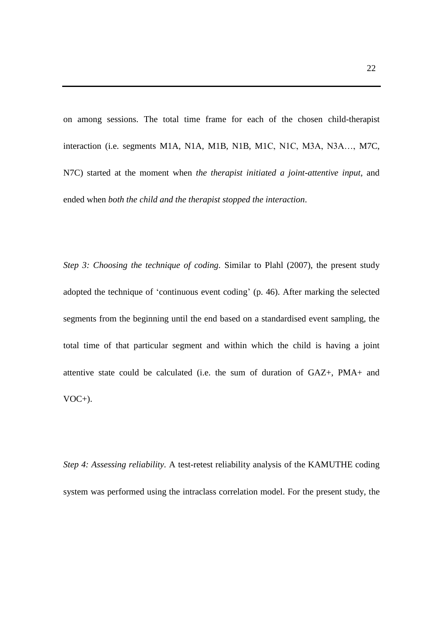on among sessions. The total time frame for each of the chosen child-therapist interaction (i.e. segments M1A, N1A, M1B, N1B, M1C, N1C, M3A, N3A…, M7C, N7C) started at the moment when *the therapist initiated a joint-attentive input*, and ended when *both the child and the therapist stopped the interaction*.

*Step 3: Choosing the technique of coding.* Similar to Plahl (2007), the present study adopted the technique of 'continuous event coding' (p. 46). After marking the selected segments from the beginning until the end based on a standardised event sampling, the total time of that particular segment and within which the child is having a joint attentive state could be calculated (i.e. the sum of duration of GAZ+, PMA+ and VOC+).

*Step 4: Assessing reliability.* A test-retest reliability analysis of the KAMUTHE coding system was performed using the intraclass correlation model. For the present study, the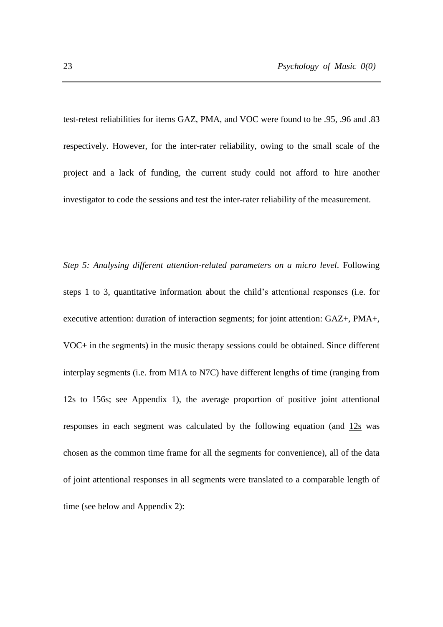test-retest reliabilities for items GAZ, PMA, and VOC were found to be .95, .96 and .83 respectively. However, for the inter-rater reliability, owing to the small scale of the project and a lack of funding, the current study could not afford to hire another investigator to code the sessions and test the inter-rater reliability of the measurement.

*Step 5: Analysing different attention-related parameters on a micro level.* Following steps 1 to 3, quantitative information about the child's attentional responses (i.e. for executive attention: duration of interaction segments; for joint attention: GAZ+, PMA+, VOC+ in the segments) in the music therapy sessions could be obtained. Since different interplay segments (i.e. from M1A to N7C) have different lengths of time (ranging from 12s to 156s; see Appendix 1), the average proportion of positive joint attentional responses in each segment was calculated by the following equation (and 12s was chosen as the common time frame for all the segments for convenience), all of the data of joint attentional responses in all segments were translated to a comparable length of time (see below and Appendix 2):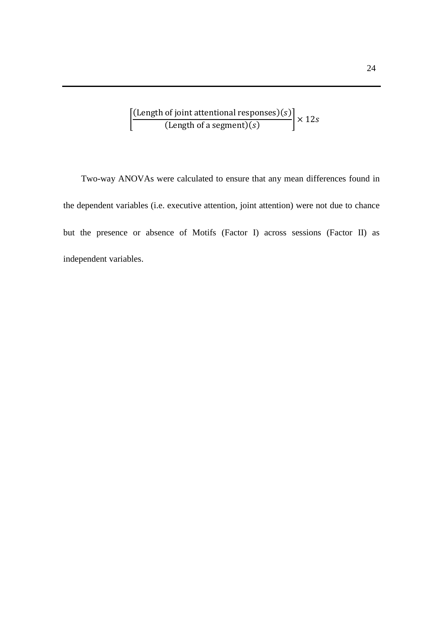$$
\left[\frac{\text{(Length of joint attentional responses)}(s)}{\text{(Length of a segment)}(s)}\right] \times 12s
$$

Two-way ANOVAs were calculated to ensure that any mean differences found in the dependent variables (i.e. executive attention, joint attention) were not due to chance but the presence or absence of Motifs (Factor I) across sessions (Factor II) as independent variables.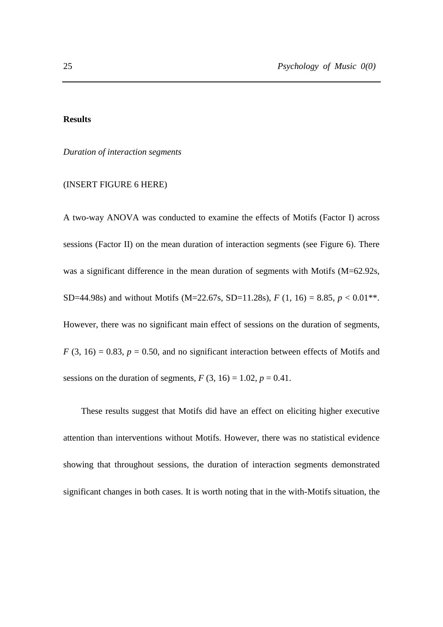#### **Results**

*Duration of interaction segments*

#### (INSERT FIGURE 6 HERE)

A two-way ANOVA was conducted to examine the effects of Motifs (Factor I) across sessions (Factor II) on the mean duration of interaction segments (see Figure 6). There was a significant difference in the mean duration of segments with Motifs (M=62.92s, SD=44.98s) and without Motifs (M=22.67s, SD=11.28s),  $F(1, 16) = 8.85$ ,  $p < 0.01$ <sup>\*\*</sup>. However, there was no significant main effect of sessions on the duration of segments,  $F(3, 16) = 0.83$ ,  $p = 0.50$ , and no significant interaction between effects of Motifs and sessions on the duration of segments,  $F(3, 16) = 1.02$ ,  $p = 0.41$ .

These results suggest that Motifs did have an effect on eliciting higher executive attention than interventions without Motifs. However, there was no statistical evidence showing that throughout sessions, the duration of interaction segments demonstrated significant changes in both cases. It is worth noting that in the with-Motifs situation, the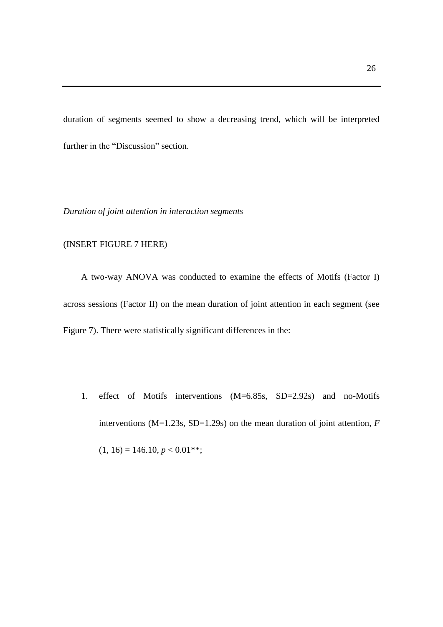duration of segments seemed to show a decreasing trend, which will be interpreted further in the "Discussion" section.

*Duration of joint attention in interaction segments*

#### (INSERT FIGURE 7 HERE)

A two-way ANOVA was conducted to examine the effects of Motifs (Factor I) across sessions (Factor II) on the mean duration of joint attention in each segment (see Figure 7). There were statistically significant differences in the:

1. effect of Motifs interventions (M=6.85s, SD=2.92s) and no-Motifs interventions (M=1.23s, SD=1.29s) on the mean duration of joint attention, *F*  $(1, 16) = 146.10, p < 0.01$ \*\*;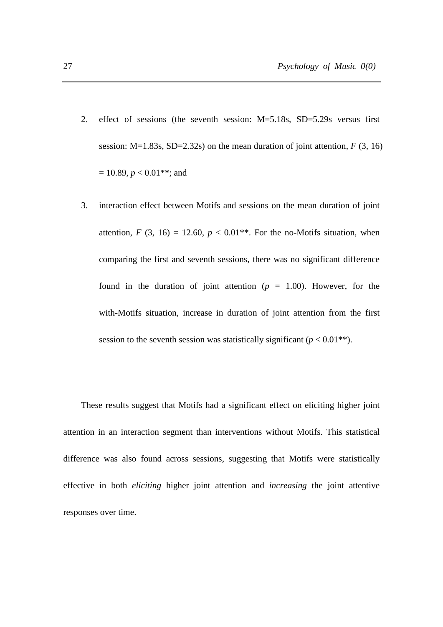- 2. effect of sessions (the seventh session: M=5.18s, SD=5.29s versus first session:  $M=1.83s$ ,  $SD=2.32s$ ) on the mean duration of joint attention,  $F(3, 16)$  $= 10.89, p < 0.01$ <sup>\*\*</sup>; and
- 3. interaction effect between Motifs and sessions on the mean duration of joint attention,  $F(3, 16) = 12.60$ ,  $p < 0.01$ <sup>\*\*</sup>. For the no-Motifs situation, when comparing the first and seventh sessions, there was no significant difference found in the duration of joint attention  $(p = 1.00)$ . However, for the with-Motifs situation, increase in duration of joint attention from the first session to the seventh session was statistically significant ( $p < 0.01$ <sup>\*\*</sup>).

These results suggest that Motifs had a significant effect on eliciting higher joint attention in an interaction segment than interventions without Motifs. This statistical difference was also found across sessions, suggesting that Motifs were statistically effective in both *eliciting* higher joint attention and *increasing* the joint attentive responses over time.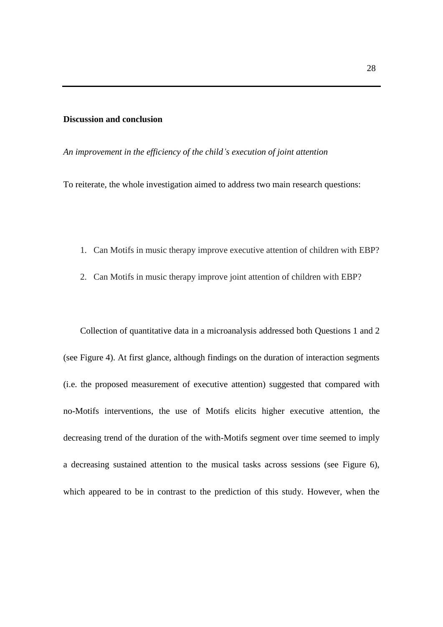#### **Discussion and conclusion**

*An improvement in the efficiency of the child's execution of joint attention*

To reiterate, the whole investigation aimed to address two main research questions:

- 1. Can Motifs in music therapy improve executive attention of children with EBP?
- 2. Can Motifs in music therapy improve joint attention of children with EBP?

Collection of quantitative data in a microanalysis addressed both Questions 1 and 2 (see Figure 4). At first glance, although findings on the duration of interaction segments (i.e. the proposed measurement of executive attention) suggested that compared with no-Motifs interventions, the use of Motifs elicits higher executive attention, the decreasing trend of the duration of the with-Motifs segment over time seemed to imply a decreasing sustained attention to the musical tasks across sessions (see Figure 6), which appeared to be in contrast to the prediction of this study. However, when the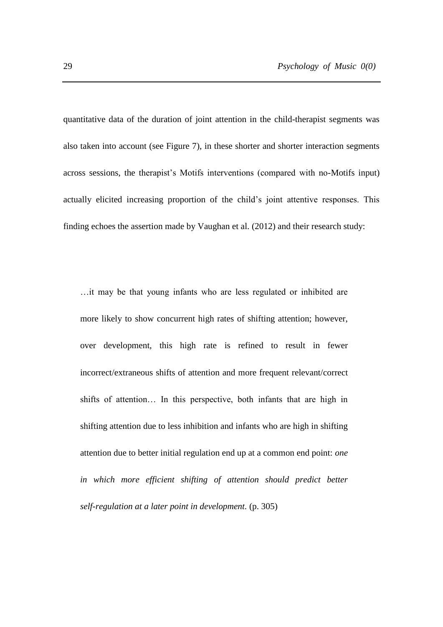quantitative data of the duration of joint attention in the child-therapist segments was also taken into account (see Figure 7), in these shorter and shorter interaction segments across sessions, the therapist's Motifs interventions (compared with no-Motifs input) actually elicited increasing proportion of the child's joint attentive responses. This finding echoes the assertion made by Vaughan et al. (2012) and their research study:

…it may be that young infants who are less regulated or inhibited are more likely to show concurrent high rates of shifting attention; however, over development, this high rate is refined to result in fewer incorrect/extraneous shifts of attention and more frequent relevant/correct shifts of attention… In this perspective, both infants that are high in shifting attention due to less inhibition and infants who are high in shifting attention due to better initial regulation end up at a common end point: *one in which more efficient shifting of attention should predict better self-regulation at a later point in development.* (p. 305)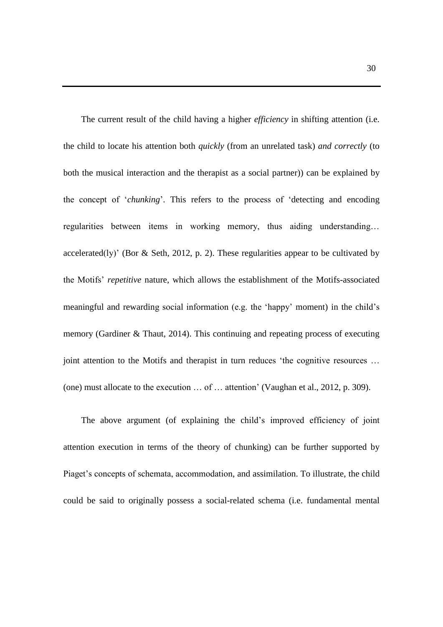The current result of the child having a higher *efficiency* in shifting attention (i.e. the child to locate his attention both *quickly* (from an unrelated task) *and correctly* (to both the musical interaction and the therapist as a social partner)) can be explained by the concept of '*chunking*'. This refers to the process of 'detecting and encoding regularities between items in working memory, thus aiding understanding… accelerated(ly)' (Bor & Seth, 2012, p. 2). These regularities appear to be cultivated by the Motifs' *repetitive* nature, which allows the establishment of the Motifs-associated meaningful and rewarding social information (e.g. the 'happy' moment) in the child's memory (Gardiner & Thaut, 2014). This continuing and repeating process of executing joint attention to the Motifs and therapist in turn reduces 'the cognitive resources ... (one) must allocate to the execution … of … attention' (Vaughan et al., 2012, p. 309).

The above argument (of explaining the child's improved efficiency of joint attention execution in terms of the theory of chunking) can be further supported by Piaget's concepts of schemata, accommodation, and assimilation. To illustrate, the child could be said to originally possess a social-related schema (i.e. fundamental mental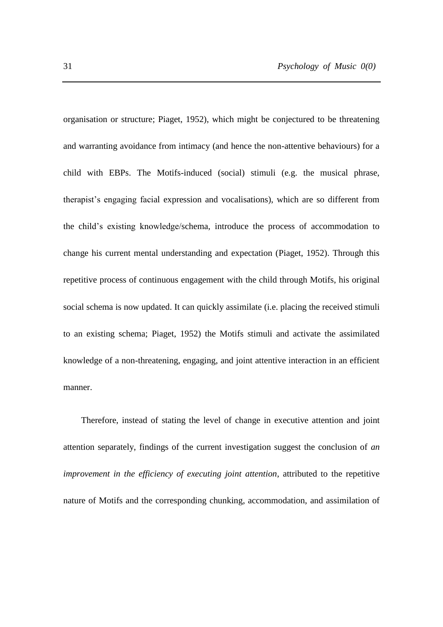organisation or structure; Piaget, 1952), which might be conjectured to be threatening and warranting avoidance from intimacy (and hence the non-attentive behaviours) for a child with EBPs. The Motifs-induced (social) stimuli (e.g. the musical phrase, therapist's engaging facial expression and vocalisations), which are so different from the child's existing knowledge/schema, introduce the process of accommodation to change his current mental understanding and expectation (Piaget, 1952). Through this repetitive process of continuous engagement with the child through Motifs, his original social schema is now updated. It can quickly assimilate (i.e. placing the received stimuli to an existing schema; Piaget, 1952) the Motifs stimuli and activate the assimilated knowledge of a non-threatening, engaging, and joint attentive interaction in an efficient manner.

Therefore, instead of stating the level of change in executive attention and joint attention separately, findings of the current investigation suggest the conclusion of *an improvement in the efficiency of executing joint attention*, attributed to the repetitive nature of Motifs and the corresponding chunking, accommodation, and assimilation of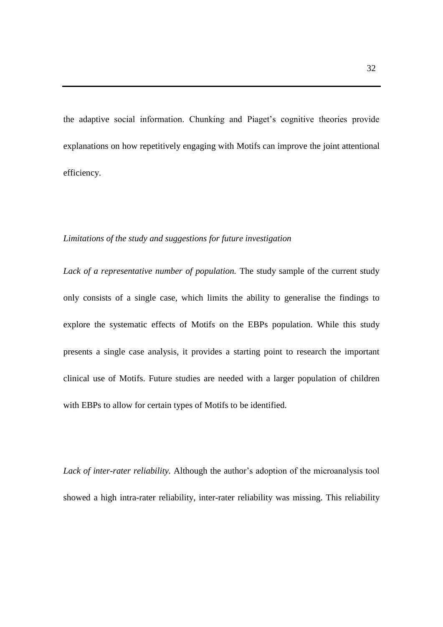the adaptive social information. Chunking and Piaget's cognitive theories provide explanations on how repetitively engaging with Motifs can improve the joint attentional efficiency.

#### *Limitations of the study and suggestions for future investigation*

*Lack of a representative number of population.* The study sample of the current study only consists of a single case, which limits the ability to generalise the findings to explore the systematic effects of Motifs on the EBPs population. While this study presents a single case analysis, it provides a starting point to research the important clinical use of Motifs. Future studies are needed with a larger population of children with EBPs to allow for certain types of Motifs to be identified.

*Lack of inter-rater reliability.* Although the author's adoption of the microanalysis tool showed a high intra-rater reliability, inter-rater reliability was missing. This reliability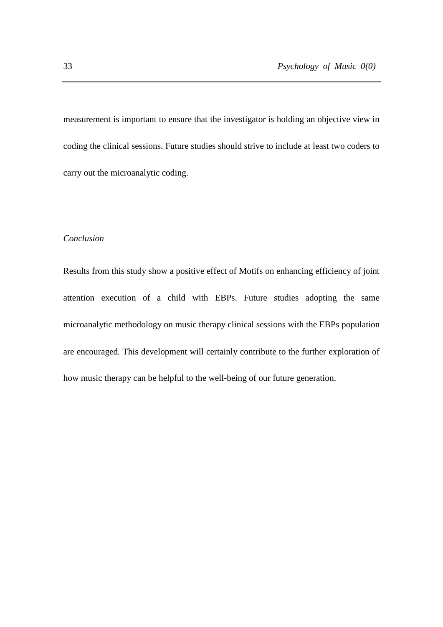measurement is important to ensure that the investigator is holding an objective view in coding the clinical sessions. Future studies should strive to include at least two coders to carry out the microanalytic coding.

#### *Conclusion*

Results from this study show a positive effect of Motifs on enhancing efficiency of joint attention execution of a child with EBPs. Future studies adopting the same microanalytic methodology on music therapy clinical sessions with the EBPs population are encouraged. This development will certainly contribute to the further exploration of how music therapy can be helpful to the well-being of our future generation.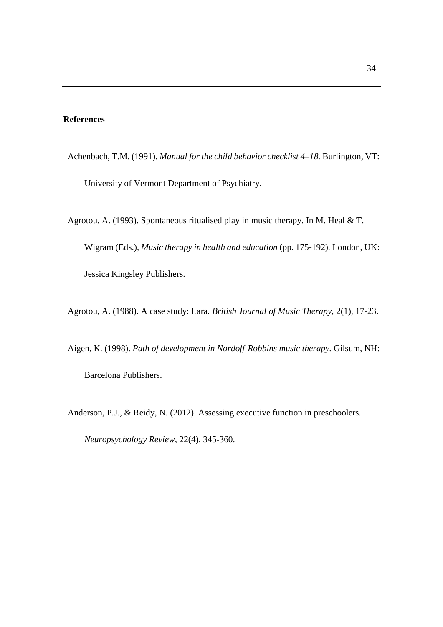#### **References**

- Achenbach, T.M. (1991). *Manual for the child behavior checklist* 4–18. Burlington, VT: University of Vermont Department of Psychiatry.
- Agrotou, A. (1993). Spontaneous ritualised play in music therapy. In M. Heal & T. Wigram (Eds.), *Music therapy in health and education* (pp. 175-192)*.* London, UK: Jessica Kingsley Publishers.
- Agrotou, A. (1988). A case study: Lara. *British Journal of Music Therapy,* 2(1), 17-23.
- Aigen, K. (1998). *Path of development in Nordoff-Robbins music therapy.* Gilsum, NH: Barcelona Publishers.
- Anderson, P.J., & Reidy, N. (2012). Assessing executive function in preschoolers.

*Neuropsychology Review,* 22(4), 345-360.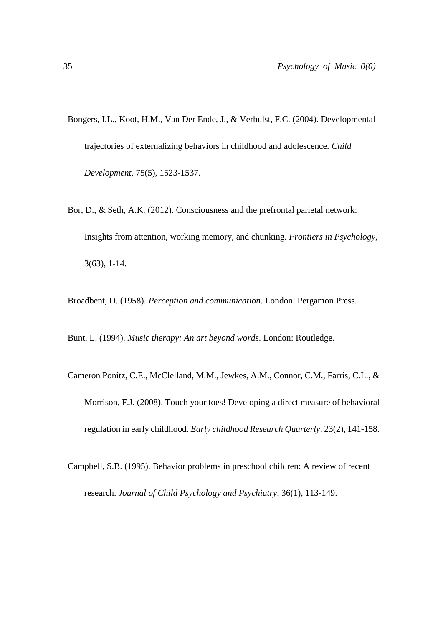- Bongers, I.L., Koot, H.M., Van Der Ende, J., & Verhulst, F.C. (2004). Developmental trajectories of externalizing behaviors in childhood and adolescence. *Child Development,* 75(5), 1523-1537.
- Bor, D., & Seth, A.K. (2012). Consciousness and the prefrontal parietal network: Insights from attention, working memory, and chunking. *Frontiers in Psychology,*  3(63), 1-14.

Broadbent, D. (1958). *Perception and communication*. London: Pergamon Press.

Bunt, L. (1994). *Music therapy: An art beyond words*. London: Routledge.

- Cameron Ponitz, C.E., McClelland, M.M., Jewkes, A.M., Connor, C.M., Farris, C.L., & Morrison, F.J. (2008). Touch your toes! Developing a direct measure of behavioral regulation in early childhood. *Early childhood Research Quarterly,* 23(2), 141-158.
- Campbell, S.B. (1995). Behavior problems in preschool children: A review of recent research. *Journal of Child Psychology and Psychiatry,* 36(1), 113-149.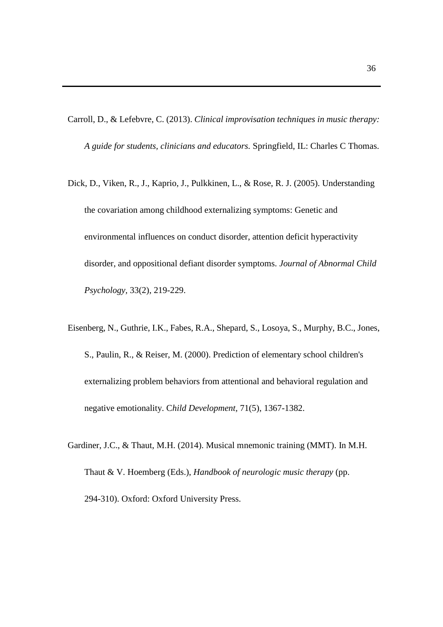Carroll, D., & Lefebvre, C. (2013). *Clinical improvisation techniques in music therapy: A guide for students, clinicians and educators.* Springfield, IL: Charles C Thomas.

- Dick, D., Viken, R., J., Kaprio, J., Pulkkinen, L., & Rose, R. J. (2005). Understanding the covariation among childhood externalizing symptoms: Genetic and environmental influences on conduct disorder, attention deficit hyperactivity disorder, and oppositional defiant disorder symptoms. *Journal of Abnormal Child Psychology,* 33(2), 219-229.
- Eisenberg, N., Guthrie, I.K., Fabes, R.A., Shepard, S., Losoya, S., Murphy, B.C., Jones, S., Paulin, R., & Reiser, M. (2000). Prediction of elementary school children's externalizing problem behaviors from attentional and behavioral regulation and negative emotionality. C*hild Development,* 71(5), 1367-1382.
- Gardiner, J.C., & Thaut, M.H. (2014). Musical mnemonic training (MMT). In M.H. Thaut & V. Hoemberg (Eds.), *Handbook of neurologic music therapy* (pp. 294-310). Oxford: Oxford University Press.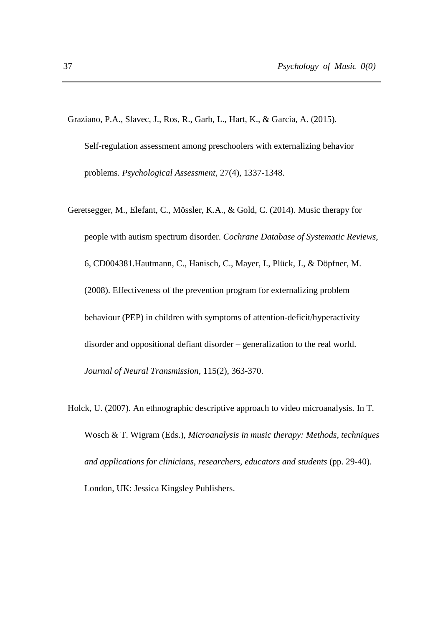- Graziano, P.A., Slavec, J., Ros, R., Garb, L., Hart, K., & Garcia, A. (2015). Self-regulation assessment among preschoolers with externalizing behavior problems. *Psychological Assessment,* 27(4), 1337-1348.
- Geretsegger, M., Elefant, C., Mössler, K.A., & Gold, C. (2014). Music therapy for people with autism spectrum disorder. *Cochrane Database of Systematic Reviews*, 6, CD004381.Hautmann, C., Hanisch, C., Mayer, I., Plück, J., & Döpfner, M. (2008). Effectiveness of the prevention program for externalizing problem behaviour (PEP) in children with symptoms of attention-deficit/hyperactivity disorder and oppositional defiant disorder – generalization to the real world. *Journal of Neural Transmission,* 115(2), 363-370.
- Holck, U. (2007). An ethnographic descriptive approach to video microanalysis. In T. Wosch & T. Wigram (Eds.), *Microanalysis in music therapy: Methods, techniques and applications for clinicians, researchers, educators and students* (pp. 29-40)*.*  London, UK: Jessica Kingsley Publishers.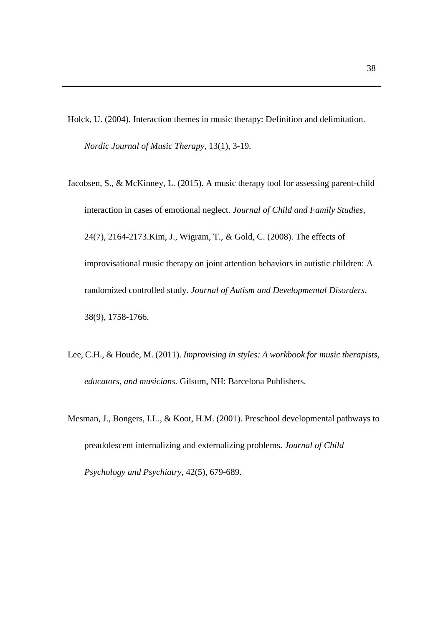Holck, U. (2004). Interaction themes in music therapy: Definition and delimitation. *Nordic Journal of Music Therapy,* 13(1), 3-19.

- Jacobsen, S., & McKinney, L. (2015). A music therapy tool for assessing parent-child interaction in cases of emotional neglect. *Journal of Child and Family Studies*, 24(7), 2164-2173.Kim, J., Wigram, T., & Gold, C. (2008). The effects of improvisational music therapy on joint attention behaviors in autistic children: A randomized controlled study. *Journal of Autism and Developmental Disorders,*  38(9), 1758-1766.
- Lee, C.H., & Houde, M. (2011). *Improvising in styles: A workbook for music therapists, educators, and musicians.* Gilsum, NH: Barcelona Publishers.
- Mesman, J., Bongers, I.L., & Koot, H.M. (2001). Preschool developmental pathways to preadolescent internalizing and externalizing problems. *Journal of Child Psychology and Psychiatry,* 42(5), 679-689.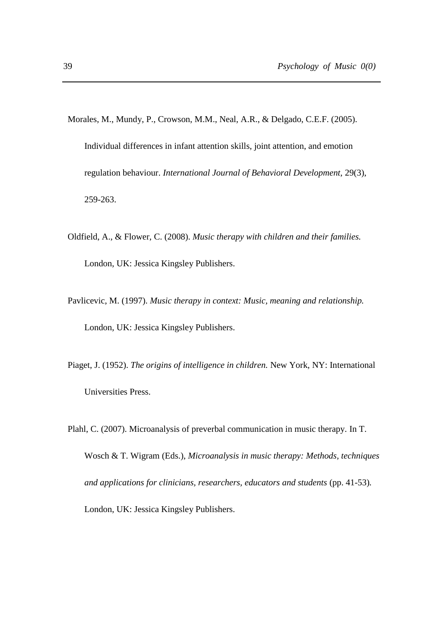- Morales, M., Mundy, P., Crowson, M.M., Neal, A.R., & Delgado, C.E.F. (2005). Individual differences in infant attention skills, joint attention, and emotion regulation behaviour. *International Journal of Behavioral Development,* 29(3), 259-263.
- Oldfield, A., & Flower, C. (2008). *Music therapy with children and their families.* London, UK: Jessica Kingsley Publishers.
- Pavlicevic, M. (1997). *Music therapy in context: Music, meaning and relationship.*  London, UK: Jessica Kingsley Publishers.
- Piaget, J. (1952). *The origins of intelligence in children.* New York, NY: International Universities Press.
- Plahl, C. (2007). Microanalysis of preverbal communication in music therapy. In T. Wosch & T. Wigram (Eds.), *Microanalysis in music therapy: Methods, techniques and applications for clinicians, researchers, educators and students* (pp. 41-53)*.*  London, UK: Jessica Kingsley Publishers.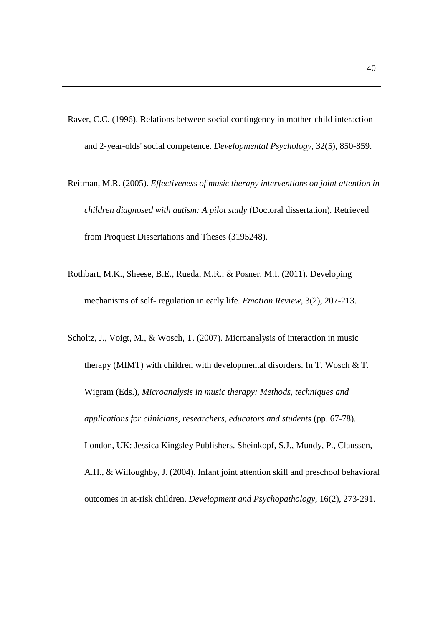- Raver, C.C. (1996). Relations between social contingency in mother-child interaction and 2-year-olds' social competence. *Developmental Psychology,* 32(5), 850-859.
- Reitman, M.R. (2005). *Effectiveness of music therapy interventions on joint attention in children diagnosed with autism: A pilot study* (Doctoral dissertation)*.* Retrieved from Proquest Dissertations and Theses (3195248).
- Rothbart, M.K., Sheese, B.E., Rueda, M.R., & Posner, M.I. (2011). Developing mechanisms of self- regulation in early life. *Emotion Review,* 3(2), 207-213.
- Scholtz, J., Voigt, M., & Wosch, T. (2007). Microanalysis of interaction in music therapy (MIMT) with children with developmental disorders. In T. Wosch & T. Wigram (Eds.), *Microanalysis in music therapy: Methods, techniques and applications for clinicians, researchers, educators and students* (pp. 67-78)*.*  London, UK: Jessica Kingsley Publishers. Sheinkopf, S.J., Mundy, P., Claussen, A.H., & Willoughby, J. (2004). Infant joint attention skill and preschool behavioral outcomes in at-risk children. *Development and Psychopathology,* 16(2), 273-291.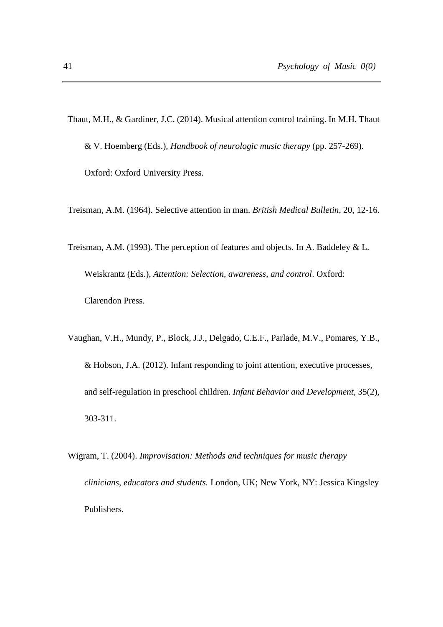- Thaut, M.H., & Gardiner, J.C. (2014). Musical attention control training. In M.H. Thaut & V. Hoemberg (Eds.), *Handbook of neurologic music therapy* (pp. 257-269)*.*  Oxford: Oxford University Press.
- Treisman, A.M. (1964). Selective attention in man. *British Medical Bulletin*, 20, 12-16.
- Treisman, A.M. (1993). The perception of features and objects. In A. Baddeley & L. Weiskrantz (Eds.), *Attention: Selection, awareness, and control*. Oxford: Clarendon Press.
- Vaughan, V.H., Mundy, P., Block, J.J., Delgado, C.E.F., Parlade, M.V., Pomares, Y.B., & Hobson, J.A. (2012). Infant responding to joint attention, executive processes, and self-regulation in preschool children. *Infant Behavior and Development,* 35(2), 303-311.
- Wigram, T. (2004). *Improvisation: Methods and techniques for music therapy clinicians, educators and students.* London, UK; New York, NY: Jessica Kingsley Publishers.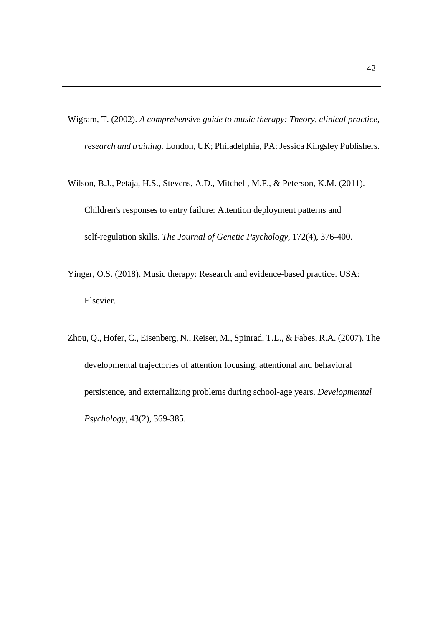Wigram, T. (2002). *A comprehensive guide to music therapy: Theory, clinical practice, research and training.* London, UK; Philadelphia, PA: Jessica Kingsley Publishers.

- Wilson, B.J., Petaja, H.S., Stevens, A.D., Mitchell, M.F., & Peterson, K.M. (2011). Children's responses to entry failure: Attention deployment patterns and self-regulation skills. *The Journal of Genetic Psychology,* 172(4), 376-400.
- Yinger, O.S. (2018). Music therapy: Research and evidence-based practice. USA: Elsevier.
- Zhou, Q., Hofer, C., Eisenberg, N., Reiser, M., Spinrad, T.L., & Fabes, R.A. (2007). The developmental trajectories of attention focusing, attentional and behavioral persistence, and externalizing problems during school-age years. *Developmental Psychology,* 43(2), 369-385.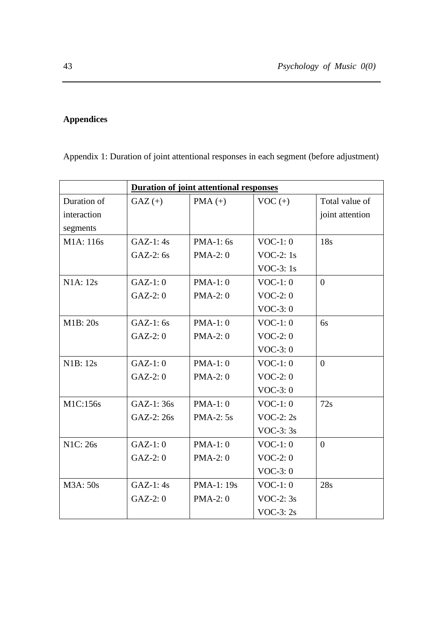# **Appendices**

Appendix 1: Duration of joint attentional responses in each segment (before adjustment)

| Duration of joint attentional responses |            |                   |             |                 |
|-----------------------------------------|------------|-------------------|-------------|-----------------|
| Duration of                             | $GAZ (+)$  | $PMA (+)$         | $VOC (+)$   | Total value of  |
| interaction                             |            |                   |             | joint attention |
| segments                                |            |                   |             |                 |
| M1A: 116s                               | $GAZ-1:4s$ | $PMA-1:$ 6s       | $VOC-1:0$   | 18s             |
|                                         | $GAZ-2:6s$ | $PMA-2:0$         | VOC-2: $1s$ |                 |
|                                         |            |                   | VOC-3: $1s$ |                 |
| N1A: 12s                                | $GAZ-1:0$  | $PMA-1:0$         | $VOC-1:0$   | $\Omega$        |
|                                         | $GAZ-2:0$  | $PMA-2:0$         | $VOC-2:0$   |                 |
|                                         |            |                   | $VOC-3:0$   |                 |
| M1B: 20s                                | $GAZ-1:6s$ | $PMA-1:0$         | $VOC-1:0$   | 6s              |
|                                         | $GAZ-2:0$  | <b>PMA-2: 0</b>   | $VOC-2:0$   |                 |
|                                         |            |                   | $VOC-3:0$   |                 |
| N1B: 12s                                | $GAZ-1:0$  | $PMA-1:0$         | $VOC-1:0$   | $\Omega$        |
|                                         | $GAZ-2:0$  | <b>PMA-2: 0</b>   | $VOC-2:0$   |                 |
|                                         |            |                   | $VOC-3:0$   |                 |
| M1C:156s                                | GAZ-1: 36s | $PMA-1:0$         | $VOC-1:0$   | 72s             |
|                                         | GAZ-2: 26s | <b>PMA-2: 5s</b>  | VOC-2: $2s$ |                 |
|                                         |            |                   | VOC-3: $3s$ |                 |
| <b>N1C: 26s</b>                         | $GAZ-1:0$  | $PMA-1:0$         | $VOC-1:0$   | $\overline{0}$  |
|                                         | $GAZ-2:0$  | $PMA-2:0$         | $VOC-2:0$   |                 |
|                                         |            |                   | $VOC-3:0$   |                 |
| M3A: 50s                                | $GAZ-1:4s$ | <b>PMA-1: 19s</b> | $VOC-1:0$   | 28s             |
|                                         | $GAZ-2:0$  | <b>PMA-2:0</b>    | VOC-2: $3s$ |                 |
|                                         |            |                   | VOC-3: $2s$ |                 |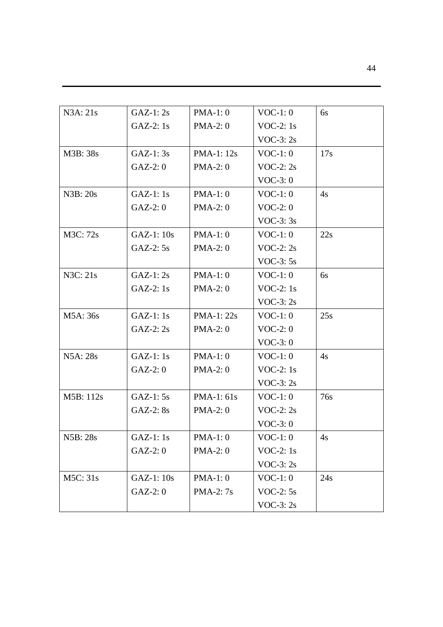| $GAZ-1:2s$  | $PMA-1:0$       | $VOC-1:0$   | 6s  |
|-------------|-----------------|-------------|-----|
| $GAZ-2:1s$  | $PMA-2:0$       | VOC-2: $1s$ |     |
|             |                 | $VOC-3:2s$  |     |
| $GAZ-1:3s$  | $PMA-1: 12s$    | $VOC-1:0$   | 17s |
| $GAZ-2:0$   | $PMA-2:0$       | VOC-2: $2s$ |     |
|             |                 | $VOC-3:0$   |     |
| $GAZ-1:1s$  | $PMA-1:0$       | $VOC-1:0$   | 4s  |
| $GAZ-2:0$   | $PMA-2:0$       | $VOC-2:0$   |     |
|             |                 | $VOC-3:3s$  |     |
| $GAZ-1:10s$ | $PMA-1:0$       | $VOC-1:0$   | 22s |
| $GAZ-2:5s$  | $PMA-2:0$       | VOC-2: $2s$ |     |
|             |                 | VOC-3: $5s$ |     |
| $GAZ-1:2s$  | $PMA-1:0$       | $VOC-1:0$   | 6s  |
| $GAZ-2:1s$  | $PMA-2:0$       | VOC-2: $1s$ |     |
|             |                 | VOC-3: $2s$ |     |
| $GAZ-1:1s$  | $PMA-1:22s$     | $VOC-1:0$   | 25s |
| $GAZ-2:2s$  | $PMA-2:0$       | $VOC-2:0$   |     |
|             |                 | $VOC-3:0$   |     |
| $GAZ-1:1s$  | $PMA-1:0$       | $VOC-1:0$   | 4s  |
| $GAZ-2:0$   | $PMA-2:0$       | VOC-2: $1s$ |     |
|             |                 | $VOC-3:2s$  |     |
| $GAZ-1:5s$  | $PMA-1:61s$     | $VOC-1:0$   | 76s |
| $GAZ-2:8s$  | $PMA-2:0$       | VOC-2: $2s$ |     |
|             |                 | $VOC-3:0$   |     |
| GAZ-1: 1s   | $PMA-1:0$       | $VOC-1:0$   | 4s  |
| $GAZ-2:0$   | $PMA-2:0$       | VOC-2: $1s$ |     |
|             |                 | VOC-3: $2s$ |     |
| GAZ-1: 10s  | $PMA-1:0$       | $VOC-1:0$   | 24s |
| $GAZ-2:0$   | <b>PMA-2:7s</b> | VOC-2: $5s$ |     |
|             |                 | $VOC-3:2s$  |     |
|             |                 |             |     |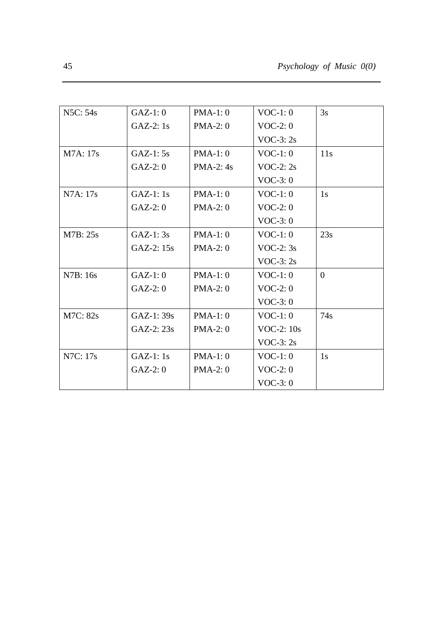| N5C: 54s | $GAZ-1:0$   | $PMA-1:0$   | $VOC-1:0$    | 3s       |
|----------|-------------|-------------|--------------|----------|
|          | $GAZ-2:1s$  | $PMA-2:0$   | $VOC-2:0$    |          |
|          |             |             | VOC-3: $2s$  |          |
| M7A: 17s | $GAZ-1:5s$  | $PMA-1:0$   | $VOC-1:0$    | 11s      |
|          | $GAZ-2:0$   | $PMA-2: 4s$ | VOC-2: $2s$  |          |
|          |             |             | $VOC-3:0$    |          |
| N7A: 17s | $GAZ-1:1s$  | $PMA-1:0$   | $VOC-1:0$    | 1s       |
|          | $GAZ-2:0$   | $PMA-2:0$   | $VOC-2:0$    |          |
|          |             |             | $VOC-3:0$    |          |
| M7B: 25s | $GAZ-1:3s$  | $PMA-1:0$   | $VOC-1:0$    | 23s      |
|          | GAZ-2: 15s  | $PMA-2:0$   | VOC-2: $3s$  |          |
|          |             |             | VOC-3: $2s$  |          |
| N7B: 16s | $GAZ-1:0$   | $PMA-1:0$   | $VOC-1:0$    | $\Omega$ |
|          | $GAZ-2:0$   | $PMA-2:0$   | $VOC-2:0$    |          |
|          |             |             | $VOC-3:0$    |          |
| M7C: 82s | $GAZ-1:39s$ | $PMA-1:0$   | $VOC-1:0$    | 74s      |
|          | GAZ-2: 23s  | $PMA-2:0$   | VOC-2: $10s$ |          |
|          |             |             | VOC-3: $2s$  |          |
| N7C: 17s | $GAZ-1:1s$  | $PMA-1:0$   | $VOC-1:0$    | 1s       |
|          | $GAZ-2:0$   | $PMA-2:0$   | $VOC-2:0$    |          |
|          |             |             | $VOC-3:0$    |          |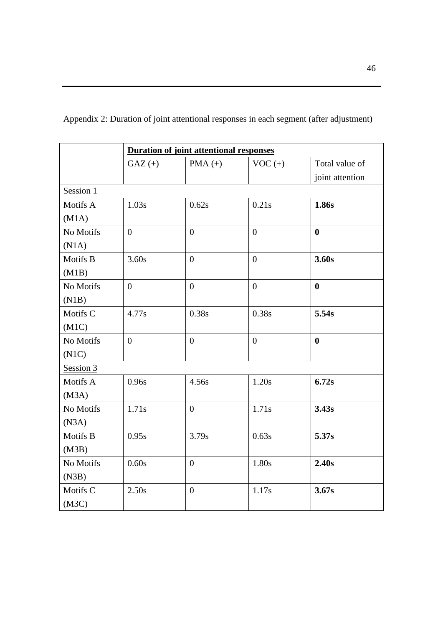|           | <b>Duration of joint attentional responses</b> |                  |                |                  |
|-----------|------------------------------------------------|------------------|----------------|------------------|
|           | $GAZ (+)$                                      | $PMA (+)$        | $VOC (+)$      | Total value of   |
|           |                                                |                  |                | joint attention  |
| Session 1 |                                                |                  |                |                  |
| Motifs A  | 1.03s                                          | 0.62s            | 0.21s          | 1.86s            |
| (M1A)     |                                                |                  |                |                  |
| No Motifs | $\overline{0}$                                 | $\theta$         | $\theta$       | $\mathbf{0}$     |
| (N1A)     |                                                |                  |                |                  |
| Motifs B  | 3.60s                                          | $\boldsymbol{0}$ | $\overline{0}$ | 3.60s            |
| (M1B)     |                                                |                  |                |                  |
| No Motifs | $\overline{0}$                                 | $\overline{0}$   | $\overline{0}$ | $\bf{0}$         |
| (N1B)     |                                                |                  |                |                  |
| Motifs C  | 4.77s                                          | 0.38s            | 0.38s          | 5.54s            |
| (M1C)     |                                                |                  |                |                  |
| No Motifs | $\overline{0}$                                 | $\overline{0}$   | $\overline{0}$ | $\boldsymbol{0}$ |
| (N1C)     |                                                |                  |                |                  |
| Session 3 |                                                |                  |                |                  |
| Motifs A  | 0.96s                                          | 4.56s            | 1.20s          | 6.72s            |
| (M3A)     |                                                |                  |                |                  |
| No Motifs | 1.71s                                          | $\overline{0}$   | 1.71s          | 3.43s            |
| (N3A)     |                                                |                  |                |                  |
| Motifs B  | 0.95s                                          | 3.79s            | 0.63s          | 5.37s            |
| (M3B)     |                                                |                  |                |                  |
| No Motifs | 0.60s                                          | $\overline{0}$   | 1.80s          | 2.40s            |
| (N3B)     |                                                |                  |                |                  |
| Motifs C  | 2.50s                                          | $\overline{0}$   | 1.17s          | 3.67s            |
| (M3C)     |                                                |                  |                |                  |

Appendix 2: Duration of joint attentional responses in each segment (after adjustment)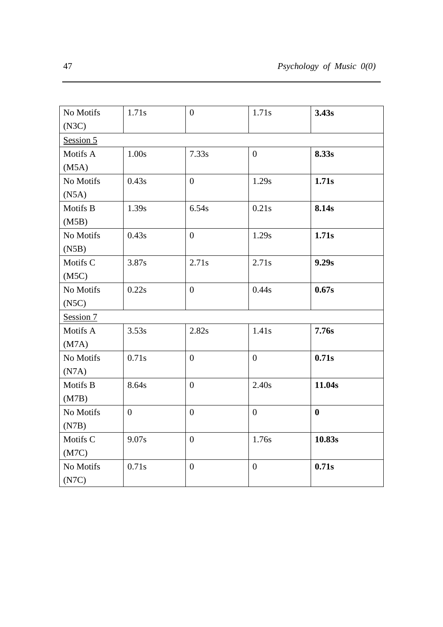| No Motifs | 1.71s          | $\overline{0}$ | 1.71s          | 3.43s    |
|-----------|----------------|----------------|----------------|----------|
| (N3C)     |                |                |                |          |
| Session 5 |                |                |                |          |
| Motifs A  | 1.00s          | 7.33s          | $\overline{0}$ | 8.33s    |
| (M5A)     |                |                |                |          |
| No Motifs | 0.43s          | $\overline{0}$ | 1.29s          | 1.71s    |
| (N5A)     |                |                |                |          |
| Motifs B  | 1.39s          | 6.54s          | 0.21s          | 8.14s    |
| (M5B)     |                |                |                |          |
| No Motifs | 0.43s          | $\overline{0}$ | 1.29s          | 1.71s    |
| (N5B)     |                |                |                |          |
| Motifs C  | 3.87s          | 2.71s          | 2.71s          | 9.29s    |
| (M5C)     |                |                |                |          |
| No Motifs | 0.22s          | $\overline{0}$ | 0.44s          | 0.67s    |
| (NSC)     |                |                |                |          |
| Session 7 |                |                |                |          |
| Motifs A  | 3.53s          | 2.82s          | 1.41s          | 7.76s    |
| (M7A)     |                |                |                |          |
| No Motifs | 0.71s          | $\overline{0}$ | $\overline{0}$ | 0.71s    |
| (N7A)     |                |                |                |          |
| Motifs B  | 8.64s          | $\overline{0}$ | 2.40s          | 11.04s   |
| (M7B)     |                |                |                |          |
| No Motifs | $\overline{0}$ | $\theta$       | $\overline{0}$ | $\bf{0}$ |
| (N7B)     |                |                |                |          |
| Motifs C  | 9.07s          | $\overline{0}$ | 1.76s          | 10.83s   |
| (M7C)     |                |                |                |          |
| No Motifs | 0.71s          | $\overline{0}$ | $\overline{0}$ | 0.71s    |
| (N7C)     |                |                |                |          |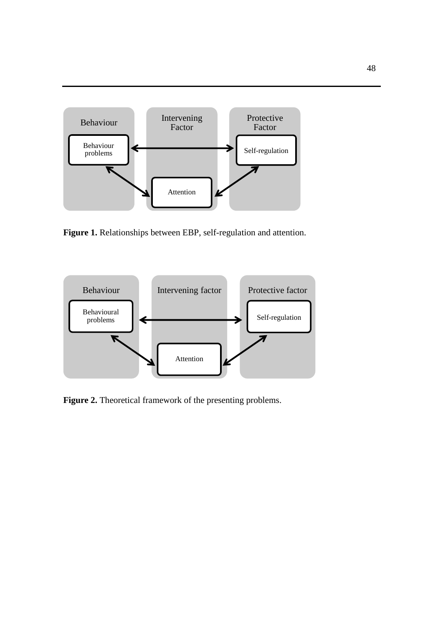

**Figure 1.** Relationships between EBP, self-regulation and attention.



**Figure 2.** Theoretical framework of the presenting problems.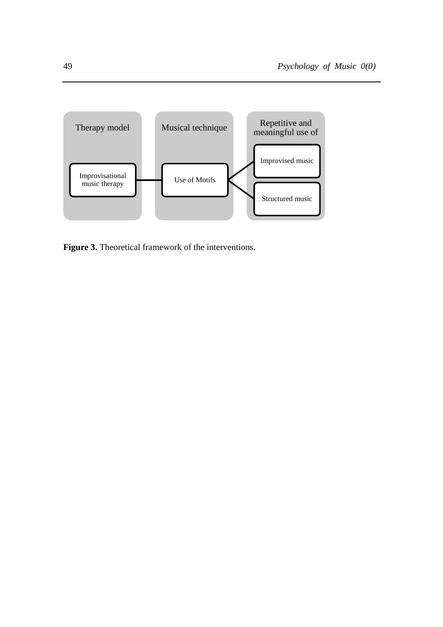

Figure 3. Theoretical framework of the interventions.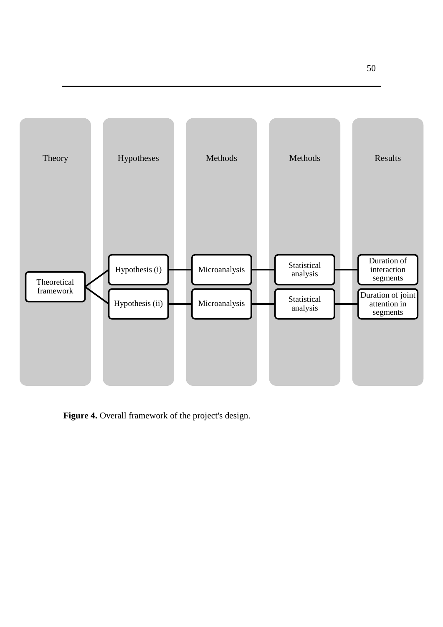

**Figure 4.** Overall framework of the project's design.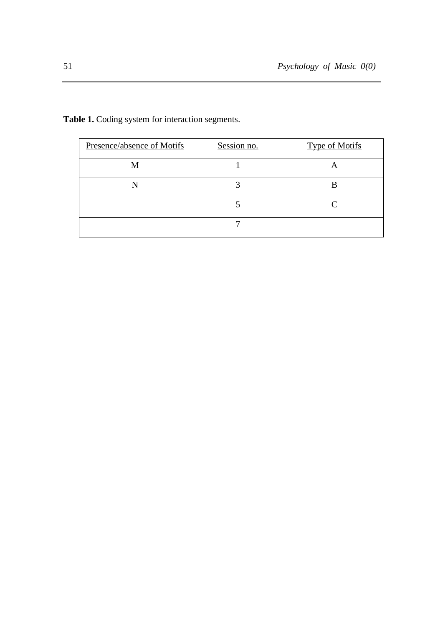| Presence/absence of Motifs | Session no. | <b>Type of Motifs</b> |
|----------------------------|-------------|-----------------------|
| M                          |             |                       |
|                            |             |                       |
|                            |             |                       |
|                            |             |                       |

**Table 1.** Coding system for interaction segments.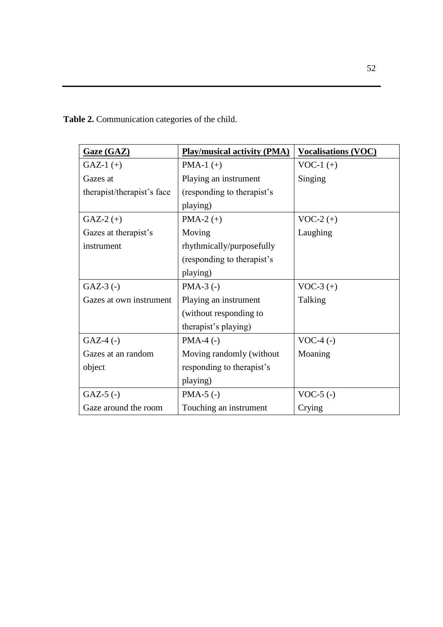**Table 2.** Communication categories of the child.

| Gaze (GAZ)                 | <b>Play/musical activity (PMA)</b> | <b>Vocalisations (VOC)</b> |
|----------------------------|------------------------------------|----------------------------|
| $GAZ-1 (+)$                | PMA-1 $(+)$                        | $VOC-1 (+)$                |
| Gazes at                   | Playing an instrument              | Singing                    |
| therapist/therapist's face | (responding to the rapist's        |                            |
|                            | playing)                           |                            |
| $GAZ-2 (+)$                | PMA-2 $(+)$                        | $VOC-2 (+)$                |
| Gazes at therapist's       | Moving                             | Laughing                   |
| instrument                 | rhythmically/purposefully          |                            |
|                            | (responding to the rapist's        |                            |
|                            | playing)                           |                            |
| $GAZ-3$ (-)                | $PMA-3$ (-)                        | $VOC-3 (+)$                |
| Gazes at own instrument    | Playing an instrument              | Talking                    |
|                            | (without responding to             |                            |
|                            | therapist's playing)               |                            |
| $GAZ-4$ (-)                | $PMA-4$ (-)                        | $VOC-4$ (-)                |
| Gazes at an random         | Moving randomly (without           | Moaning                    |
| object                     | responding to therapist's          |                            |
|                            | playing)                           |                            |
| $GAZ-5$ (-)                | $PMA-5$ (-)                        | $VOC-5$ (-)                |
| Gaze around the room       | Touching an instrument             | Crying                     |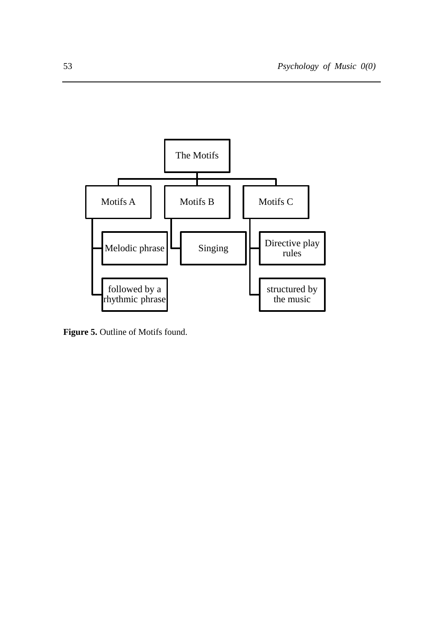

**Figure 5.** Outline of Motifs found.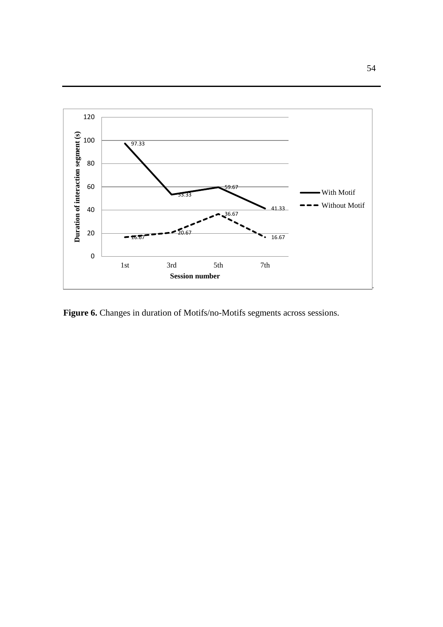

Figure 6. Changes in duration of Motifs/no-Motifs segments across sessions.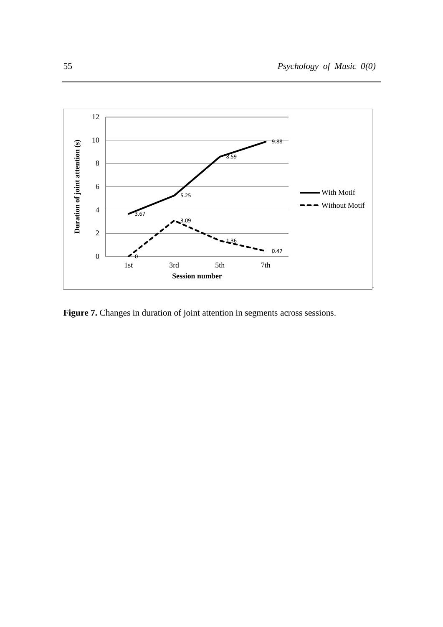

Figure 7. Changes in duration of joint attention in segments across sessions.